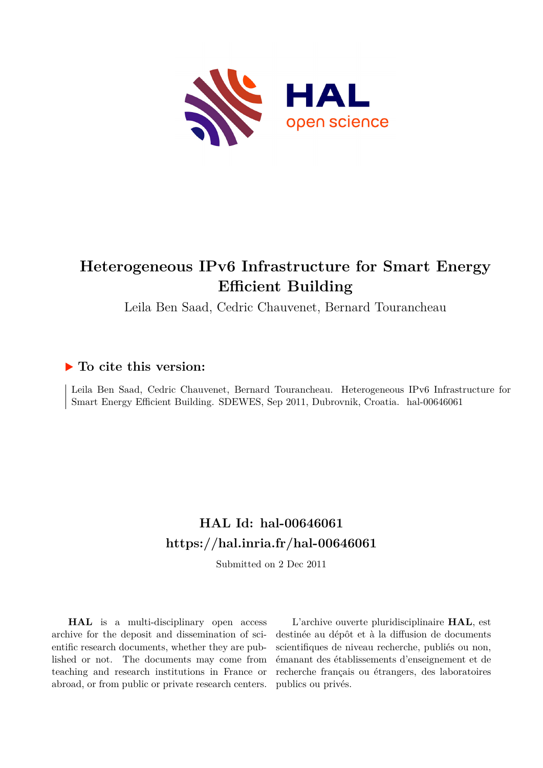

# **Heterogeneous IPv6 Infrastructure for Smart Energy Efficient Building**

Leila Ben Saad, Cedric Chauvenet, Bernard Tourancheau

# **To cite this version:**

Leila Ben Saad, Cedric Chauvenet, Bernard Tourancheau. Heterogeneous IPv6 Infrastructure for Smart Energy Efficient Building. SDEWES, Sep 2011, Dubrovnik, Croatia. hal-00646061

# **HAL Id: hal-00646061 <https://hal.inria.fr/hal-00646061>**

Submitted on 2 Dec 2011

**HAL** is a multi-disciplinary open access archive for the deposit and dissemination of scientific research documents, whether they are published or not. The documents may come from teaching and research institutions in France or abroad, or from public or private research centers.

L'archive ouverte pluridisciplinaire **HAL**, est destinée au dépôt et à la diffusion de documents scientifiques de niveau recherche, publiés ou non, émanant des établissements d'enseignement et de recherche français ou étrangers, des laboratoires publics ou privés.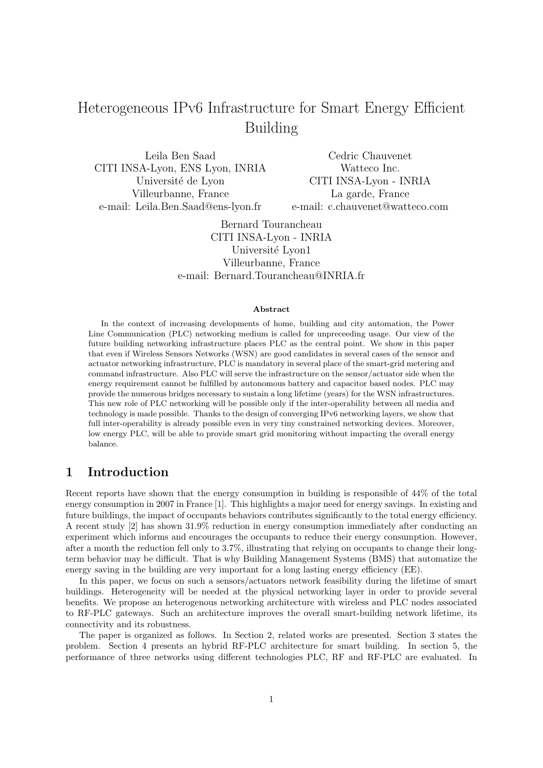# Heterogeneous IPv6 Infrastructure for Smart Energy Efficient Building

Leila Ben Saad CITI INSA-Lyon, ENS Lyon, INRIA Université de Lyon Villeurbanne, France e-mail: Leila.Ben.Saad@ens-lyon.fr

Cedric Chauvenet Watteco Inc. CITI INSA-Lyon - INRIA La garde, France e-mail: c.chauvenet@watteco.com

Bernard Tourancheau CITI INSA-Lyon - INRIA Université Lyon1 Villeurbanne, France e-mail: Bernard.Tourancheau@INRIA.fr

#### Abstract

In the context of increasing developments of home, building and city automation, the Power Line Communication (PLC) networking medium is called for unpreceeding usage. Our view of the future building networking infrastructure places PLC as the central point. We show in this paper that even if Wireless Sensors Networks (WSN) are good candidates in several cases of the sensor and actuator networking infrastructure, PLC is mandatory in several place of the smart-grid metering and command infrastructure. Also PLC will serve the infrastructure on the sensor/actuator side when the energy requirement cannot be fulfilled by autonomous battery and capacitor based nodes. PLC may provide the numerous bridges necessary to sustain a long lifetime (years) for the WSN infrastructures. This new role of PLC networking will be possible only if the inter-operability between all media and technology is made possible. Thanks to the design of converging IPv6 networking layers, we show that full inter-operability is already possible even in very tiny constrained networking devices. Moreover, low energy PLC, will be able to provide smart grid monitoring without impacting the overall energy balance.

# 1 Introduction

Recent reports have shown that the energy consumption in building is responsible of 44% of the total energy consumption in 2007 in France [1]. This highlights a major need for energy savings. In existing and future buildings, the impact of occupants behaviors contributes significantly to the total energy efficiency. A recent study [2] has shown 31.9% reduction in energy consumption immediately after conducting an experiment which informs and encourages the occupants to reduce their energy consumption. However, after a month the reduction fell only to 3.7%, illustrating that relying on occupants to change their longterm behavior may be difficult. That is why Building Management Systems (BMS) that automatize the energy saving in the building are very important for a long lasting energy efficiency (EE).

In this paper, we focus on such a sensors/actuators network feasibility during the lifetime of smart buildings. Heterogeneity will be needed at the physical networking layer in order to provide several benefits. We propose an heterogenous networking architecture with wireless and PLC nodes associated to RF-PLC gateways. Such an architecture improves the overall smart-building network lifetime, its connectivity and its robustness.

The paper is organized as follows. In Section 2, related works are presented. Section 3 states the problem. Section 4 presents an hybrid RF-PLC architecture for smart building. In section 5, the performance of three networks using different technologies PLC, RF and RF-PLC are evaluated. In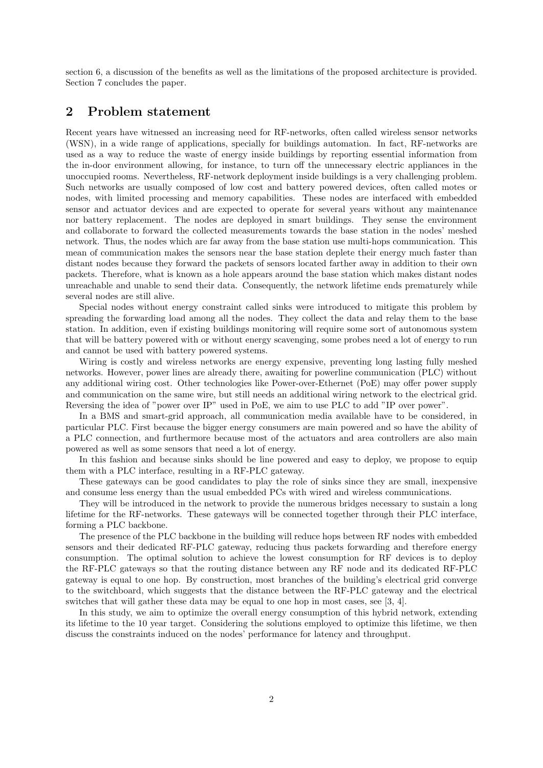section 6, a discussion of the benefits as well as the limitations of the proposed architecture is provided. Section 7 concludes the paper.

# 2 Problem statement

Recent years have witnessed an increasing need for RF-networks, often called wireless sensor networks (WSN), in a wide range of applications, specially for buildings automation. In fact, RF-networks are used as a way to reduce the waste of energy inside buildings by reporting essential information from the in-door environment allowing, for instance, to turn off the unnecessary electric appliances in the unoccupied rooms. Nevertheless, RF-network deployment inside buildings is a very challenging problem. Such networks are usually composed of low cost and battery powered devices, often called motes or nodes, with limited processing and memory capabilities. These nodes are interfaced with embedded sensor and actuator devices and are expected to operate for several years without any maintenance nor battery replacement. The nodes are deployed in smart buildings. They sense the environment and collaborate to forward the collected measurements towards the base station in the nodes' meshed network. Thus, the nodes which are far away from the base station use multi-hops communication. This mean of communication makes the sensors near the base station deplete their energy much faster than distant nodes because they forward the packets of sensors located farther away in addition to their own packets. Therefore, what is known as a hole appears around the base station which makes distant nodes unreachable and unable to send their data. Consequently, the network lifetime ends prematurely while several nodes are still alive.

Special nodes without energy constraint called sinks were introduced to mitigate this problem by spreading the forwarding load among all the nodes. They collect the data and relay them to the base station. In addition, even if existing buildings monitoring will require some sort of autonomous system that will be battery powered with or without energy scavenging, some probes need a lot of energy to run and cannot be used with battery powered systems.

Wiring is costly and wireless networks are energy expensive, preventing long lasting fully meshed networks. However, power lines are already there, awaiting for powerline communication (PLC) without any additional wiring cost. Other technologies like Power-over-Ethernet (PoE) may offer power supply and communication on the same wire, but still needs an additional wiring network to the electrical grid. Reversing the idea of "power over IP" used in PoE, we aim to use PLC to add "IP over power".

In a BMS and smart-grid approach, all communication media available have to be considered, in particular PLC. First because the bigger energy consumers are main powered and so have the ability of a PLC connection, and furthermore because most of the actuators and area controllers are also main powered as well as some sensors that need a lot of energy.

In this fashion and because sinks should be line powered and easy to deploy, we propose to equip them with a PLC interface, resulting in a RF-PLC gateway.

These gateways can be good candidates to play the role of sinks since they are small, inexpensive and consume less energy than the usual embedded PCs with wired and wireless communications.

They will be introduced in the network to provide the numerous bridges necessary to sustain a long lifetime for the RF-networks. These gateways will be connected together through their PLC interface, forming a PLC backbone.

The presence of the PLC backbone in the building will reduce hops between RF nodes with embedded sensors and their dedicated RF-PLC gateway, reducing thus packets forwarding and therefore energy consumption. The optimal solution to achieve the lowest consumption for RF devices is to deploy the RF-PLC gateways so that the routing distance between any RF node and its dedicated RF-PLC gateway is equal to one hop. By construction, most branches of the building's electrical grid converge to the switchboard, which suggests that the distance between the RF-PLC gateway and the electrical switches that will gather these data may be equal to one hop in most cases, see [3, 4].

In this study, we aim to optimize the overall energy consumption of this hybrid network, extending its lifetime to the 10 year target. Considering the solutions employed to optimize this lifetime, we then discuss the constraints induced on the nodes' performance for latency and throughput.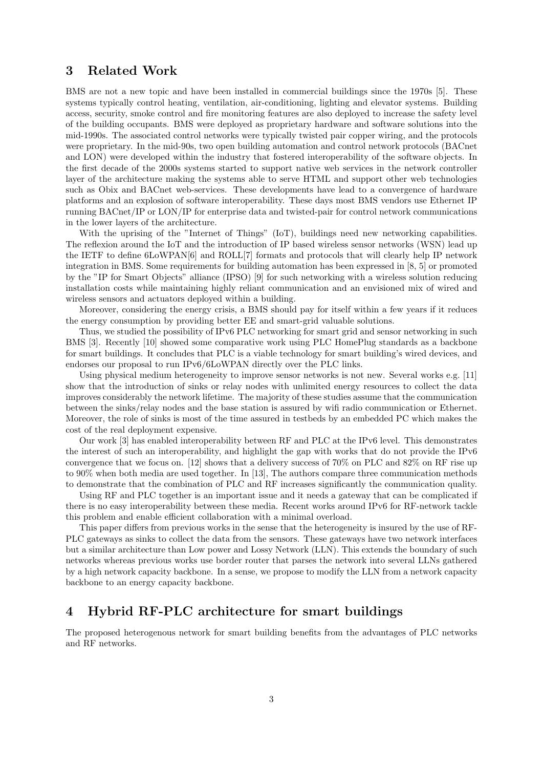# 3 Related Work

BMS are not a new topic and have been installed in commercial buildings since the 1970s [5]. These systems typically control heating, ventilation, air-conditioning, lighting and elevator systems. Building access, security, smoke control and fire monitoring features are also deployed to increase the safety level of the building occupants. BMS were deployed as proprietary hardware and software solutions into the mid-1990s. The associated control networks were typically twisted pair copper wiring, and the protocols were proprietary. In the mid-90s, two open building automation and control network protocols (BACnet and LON) were developed within the industry that fostered interoperability of the software objects. In the first decade of the 2000s systems started to support native web services in the network controller layer of the architecture making the systems able to serve HTML and support other web technologies such as Obix and BACnet web-services. These developments have lead to a convergence of hardware platforms and an explosion of software interoperability. These days most BMS vendors use Ethernet IP running BACnet/IP or LON/IP for enterprise data and twisted-pair for control network communications in the lower layers of the architecture.

With the uprising of the "Internet of Things" (IoT), buildings need new networking capabilities. The reflexion around the IoT and the introduction of IP based wireless sensor networks (WSN) lead up the IETF to define 6LoWPAN[6] and ROLL[7] formats and protocols that will clearly help IP network integration in BMS. Some requirements for building automation has been expressed in [8, 5] or promoted by the "IP for Smart Objects" alliance (IPSO) [9] for such networking with a wireless solution reducing installation costs while maintaining highly reliant communication and an envisioned mix of wired and wireless sensors and actuators deployed within a building.

Moreover, considering the energy crisis, a BMS should pay for itself within a few years if it reduces the energy consumption by providing better EE and smart-grid valuable solutions.

Thus, we studied the possibility of IPv6 PLC networking for smart grid and sensor networking in such BMS [3]. Recently [10] showed some comparative work using PLC HomePlug standards as a backbone for smart buildings. It concludes that PLC is a viable technology for smart building's wired devices, and endorses our proposal to run IPv6/6LoWPAN directly over the PLC links.

Using physical medium heterogeneity to improve sensor networks is not new. Several works e.g. [11] show that the introduction of sinks or relay nodes with unlimited energy resources to collect the data improves considerably the network lifetime. The majority of these studies assume that the communication between the sinks/relay nodes and the base station is assured by wifi radio communication or Ethernet. Moreover, the role of sinks is most of the time assured in testbeds by an embedded PC which makes the cost of the real deployment expensive.

Our work [3] has enabled interoperability between RF and PLC at the IPv6 level. This demonstrates the interest of such an interoperability, and highlight the gap with works that do not provide the IPv6 convergence that we focus on. [12] shows that a delivery success of 70% on PLC and 82% on RF rise up to 90% when both media are used together. In [13], The authors compare three communication methods to demonstrate that the combination of PLC and RF increases significantly the communication quality.

Using RF and PLC together is an important issue and it needs a gateway that can be complicated if there is no easy interoperability between these media. Recent works around IPv6 for RF-network tackle this problem and enable efficient collaboration with a minimal overload.

This paper differs from previous works in the sense that the heterogeneity is insured by the use of RF-PLC gateways as sinks to collect the data from the sensors. These gateways have two network interfaces but a similar architecture than Low power and Lossy Network (LLN). This extends the boundary of such networks whereas previous works use border router that parses the network into several LLNs gathered by a high network capacity backbone. In a sense, we propose to modify the LLN from a network capacity backbone to an energy capacity backbone.

## 4 Hybrid RF-PLC architecture for smart buildings

The proposed heterogenous network for smart building benefits from the advantages of PLC networks and RF networks.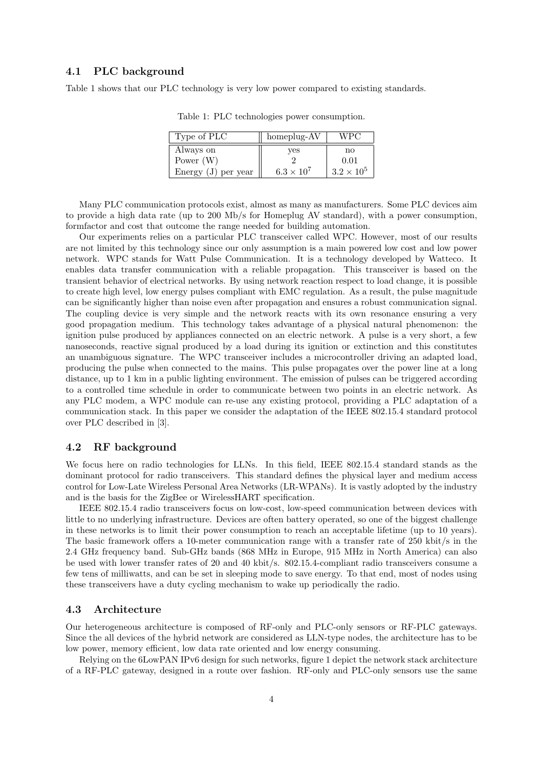## 4.1 PLC background

Table 1 shows that our PLC technology is very low power compared to existing standards.

| Type of PLC           | homeplug-AV         | WPC                    |  |
|-----------------------|---------------------|------------------------|--|
| Always on             | ves                 | $\mathbf{n}\mathbf{o}$ |  |
| Power $(W)$           |                     | 0.01                   |  |
| Energy $(J)$ per year | $6.3 \times 10^{7}$ | $3.2 \times 10^5$      |  |

Table 1: PLC technologies power consumption.

Many PLC communication protocols exist, almost as many as manufacturers. Some PLC devices aim to provide a high data rate (up to 200 Mb/s for Homeplug AV standard), with a power consumption, formfactor and cost that outcome the range needed for building automation.

Our experiments relies on a particular PLC transceiver called WPC. However, most of our results are not limited by this technology since our only assumption is a main powered low cost and low power network. WPC stands for Watt Pulse Communication. It is a technology developed by Watteco. It enables data transfer communication with a reliable propagation. This transceiver is based on the transient behavior of electrical networks. By using network reaction respect to load change, it is possible to create high level, low energy pulses compliant with EMC regulation. As a result, the pulse magnitude can be significantly higher than noise even after propagation and ensures a robust communication signal. The coupling device is very simple and the network reacts with its own resonance ensuring a very good propagation medium. This technology takes advantage of a physical natural phenomenon: the ignition pulse produced by appliances connected on an electric network. A pulse is a very short, a few nanoseconds, reactive signal produced by a load during its ignition or extinction and this constitutes an unambiguous signature. The WPC transceiver includes a microcontroller driving an adapted load, producing the pulse when connected to the mains. This pulse propagates over the power line at a long distance, up to 1 km in a public lighting environment. The emission of pulses can be triggered according to a controlled time schedule in order to communicate between two points in an electric network. As any PLC modem, a WPC module can re-use any existing protocol, providing a PLC adaptation of a communication stack. In this paper we consider the adaptation of the IEEE 802.15.4 standard protocol over PLC described in [3].

### 4.2 RF background

We focus here on radio technologies for LLNs. In this field, IEEE 802.15.4 standard stands as the dominant protocol for radio transceivers. This standard defines the physical layer and medium access control for Low-Late Wireless Personal Area Networks (LR-WPANs). It is vastly adopted by the industry and is the basis for the ZigBee or WirelessHART specification.

IEEE 802.15.4 radio transceivers focus on low-cost, low-speed communication between devices with little to no underlying infrastructure. Devices are often battery operated, so one of the biggest challenge in these networks is to limit their power consumption to reach an acceptable lifetime (up to 10 years). The basic framework offers a 10-meter communication range with a transfer rate of 250 kbit/s in the 2.4 GHz frequency band. Sub-GHz bands (868 MHz in Europe, 915 MHz in North America) can also be used with lower transfer rates of 20 and 40 kbit/s. 802.15.4-compliant radio transceivers consume a few tens of milliwatts, and can be set in sleeping mode to save energy. To that end, most of nodes using these transceivers have a duty cycling mechanism to wake up periodically the radio.

### 4.3 Architecture

Our heterogeneous architecture is composed of RF-only and PLC-only sensors or RF-PLC gateways. Since the all devices of the hybrid network are considered as LLN-type nodes, the architecture has to be low power, memory efficient, low data rate oriented and low energy consuming.

Relying on the 6LowPAN IPv6 design for such networks, figure 1 depict the network stack architecture of a RF-PLC gateway, designed in a route over fashion. RF-only and PLC-only sensors use the same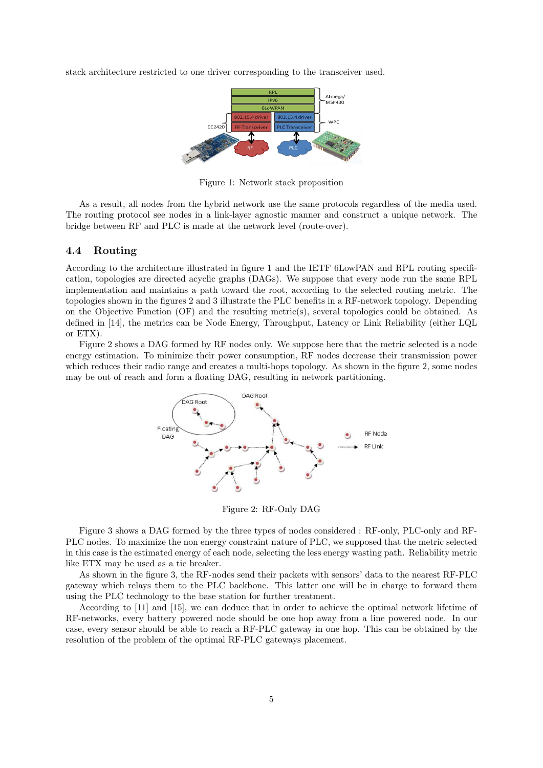stack architecture restricted to one driver corresponding to the transceiver used.



Figure 1: Network stack proposition

As a result, all nodes from the hybrid network use the same protocols regardless of the media used. The routing protocol see nodes in a link-layer agnostic manner and construct a unique network. The bridge between RF and PLC is made at the network level (route-over).

### 4.4 Routing

According to the architecture illustrated in figure 1 and the IETF 6LowPAN and RPL routing specification, topologies are directed acyclic graphs (DAGs). We suppose that every node run the same RPL implementation and maintains a path toward the root, according to the selected routing metric. The topologies shown in the figures 2 and 3 illustrate the PLC benefits in a RF-network topology. Depending on the Objective Function (OF) and the resulting metric(s), several topologies could be obtained. As defined in [14], the metrics can be Node Energy, Throughput, Latency or Link Reliability (either LQL or ETX).

Figure 2 shows a DAG formed by RF nodes only. We suppose here that the metric selected is a node energy estimation. To minimize their power consumption, RF nodes decrease their transmission power which reduces their radio range and creates a multi-hops topology. As shown in the figure 2, some nodes may be out of reach and form a floating DAG, resulting in network partitioning.



Figure 2: RF-Only DAG

Figure 3 shows a DAG formed by the three types of nodes considered : RF-only, PLC-only and RF-PLC nodes. To maximize the non energy constraint nature of PLC, we supposed that the metric selected in this case is the estimated energy of each node, selecting the less energy wasting path. Reliability metric like ETX may be used as a tie breaker.

As shown in the figure 3, the RF-nodes send their packets with sensors' data to the nearest RF-PLC gateway which relays them to the PLC backbone. This latter one will be in charge to forward them using the PLC technology to the base station for further treatment.

According to [11] and [15], we can deduce that in order to achieve the optimal network lifetime of RF-networks, every battery powered node should be one hop away from a line powered node. In our case, every sensor should be able to reach a RF-PLC gateway in one hop. This can be obtained by the resolution of the problem of the optimal RF-PLC gateways placement.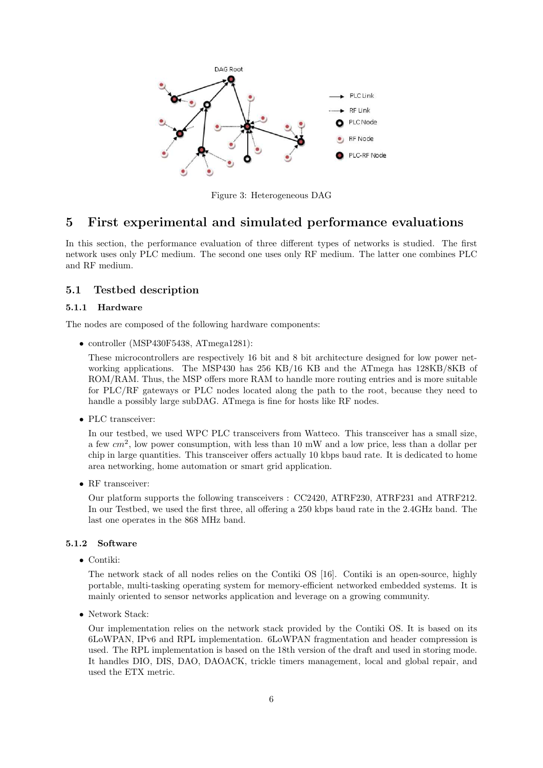

Figure 3: Heterogeneous DAG

## 5 First experimental and simulated performance evaluations

In this section, the performance evaluation of three different types of networks is studied. The first network uses only PLC medium. The second one uses only RF medium. The latter one combines PLC and RF medium.

## 5.1 Testbed description

#### 5.1.1 Hardware

The nodes are composed of the following hardware components:

• controller (MSP430F5438, ATmega1281):

These microcontrollers are respectively 16 bit and 8 bit architecture designed for low power networking applications. The MSP430 has 256 KB/16 KB and the ATmega has 128KB/8KB of ROM/RAM. Thus, the MSP offers more RAM to handle more routing entries and is more suitable for PLC/RF gateways or PLC nodes located along the path to the root, because they need to handle a possibly large subDAG. ATmega is fine for hosts like RF nodes.

• PLC transceiver:

In our testbed, we used WPC PLC transceivers from Watteco. This transceiver has a small size, a few  $cm<sup>2</sup>$ , low power consumption, with less than 10 mW and a low price, less than a dollar per chip in large quantities. This transceiver offers actually 10 kbps baud rate. It is dedicated to home area networking, home automation or smart grid application.

• RF transceiver:

Our platform supports the following transceivers : CC2420, ATRF230, ATRF231 and ATRF212. In our Testbed, we used the first three, all offering a 250 kbps baud rate in the 2.4GHz band. The last one operates in the 868 MHz band.

## 5.1.2 Software

• Contiki:

The network stack of all nodes relies on the Contiki OS [16]. Contiki is an open-source, highly portable, multi-tasking operating system for memory-efficient networked embedded systems. It is mainly oriented to sensor networks application and leverage on a growing community.

• Network Stack:

Our implementation relies on the network stack provided by the Contiki OS. It is based on its 6LoWPAN, IPv6 and RPL implementation. 6LoWPAN fragmentation and header compression is used. The RPL implementation is based on the 18th version of the draft and used in storing mode. It handles DIO, DIS, DAO, DAOACK, trickle timers management, local and global repair, and used the ETX metric.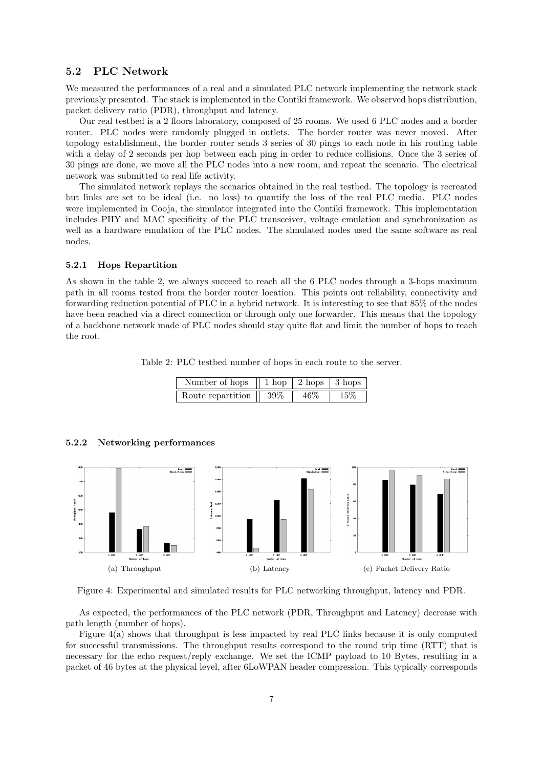## 5.2 PLC Network

We measured the performances of a real and a simulated PLC network implementing the network stack previously presented. The stack is implemented in the Contiki framework. We observed hops distribution, packet delivery ratio (PDR), throughput and latency.

Our real testbed is a 2 floors laboratory, composed of 25 rooms. We used 6 PLC nodes and a border router. PLC nodes were randomly plugged in outlets. The border router was never moved. After topology establishment, the border router sends 3 series of 30 pings to each node in his routing table with a delay of 2 seconds per hop between each ping in order to reduce collisions. Once the 3 series of 30 pings are done, we move all the PLC nodes into a new room, and repeat the scenario. The electrical network was submitted to real life activity.

The simulated network replays the scenarios obtained in the real testbed. The topology is recreated but links are set to be ideal (i.e. no loss) to quantify the loss of the real PLC media. PLC nodes were implemented in Cooja, the simulator integrated into the Contiki framework. This implementation includes PHY and MAC specificity of the PLC transceiver, voltage emulation and synchronization as well as a hardware emulation of the PLC nodes. The simulated nodes used the same software as real nodes.

#### 5.2.1 Hops Repartition

As shown in the table 2, we always succeed to reach all the 6 PLC nodes through a 3-hops maximum path in all rooms tested from the border router location. This points out reliability, connectivity and forwarding reduction potential of PLC in a hybrid network. It is interesting to see that 85% of the nodes have been reached via a direct connection or through only one forwarder. This means that the topology of a backbone network made of PLC nodes should stay quite flat and limit the number of hops to reach the root.

Table 2: PLC testbed number of hops in each route to the server.

| Number of hops    |        |     | $\parallel$ 1 hop $\parallel$ 2 hops $\parallel$ 3 hops $\parallel$ |
|-------------------|--------|-----|---------------------------------------------------------------------|
| Route repartition | $39\%$ | 46% | 15%                                                                 |

#### 5.2.2 Networking performances



Figure 4: Experimental and simulated results for PLC networking throughput, latency and PDR.

As expected, the performances of the PLC network (PDR, Throughput and Latency) decrease with path length (number of hops).

Figure 4(a) shows that throughput is less impacted by real PLC links because it is only computed for successful transmissions. The throughput results correspond to the round trip time (RTT) that is necessary for the echo request/reply exchange. We set the ICMP payload to 10 Bytes, resulting in a packet of 46 bytes at the physical level, after 6LoWPAN header compression. This typically corresponds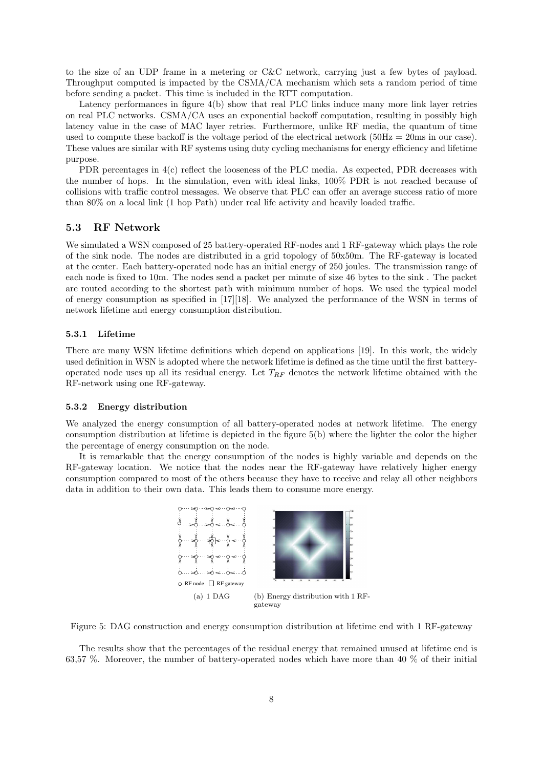to the size of an UDP frame in a metering or C&C network, carrying just a few bytes of payload. Throughput computed is impacted by the CSMA/CA mechanism which sets a random period of time before sending a packet. This time is included in the RTT computation.

Latency performances in figure 4(b) show that real PLC links induce many more link layer retries on real PLC networks. CSMA/CA uses an exponential backoff computation, resulting in possibly high latency value in the case of MAC layer retries. Furthermore, unlike RF media, the quantum of time used to compute these backoff is the voltage period of the electrical network  $(50Hz = 20ms$  in our case). These values are similar with RF systems using duty cycling mechanisms for energy efficiency and lifetime purpose.

PDR percentages in 4(c) reflect the looseness of the PLC media. As expected, PDR decreases with the number of hops. In the simulation, even with ideal links, 100% PDR is not reached because of collisions with traffic control messages. We observe that PLC can offer an average success ratio of more than 80% on a local link (1 hop Path) under real life activity and heavily loaded traffic.

#### 5.3 RF Network

We simulated a WSN composed of 25 battery-operated RF-nodes and 1 RF-gateway which plays the role of the sink node. The nodes are distributed in a grid topology of 50x50m. The RF-gateway is located at the center. Each battery-operated node has an initial energy of 250 joules. The transmission range of each node is fixed to 10m. The nodes send a packet per minute of size 46 bytes to the sink . The packet are routed according to the shortest path with minimum number of hops. We used the typical model of energy consumption as specified in  $[17][18]$ . We analyzed the performance of the WSN in terms of network lifetime and energy consumption distribution.

#### 5.3.1 Lifetime

There are many WSN lifetime definitions which depend on applications [19]. In this work, the widely used definition in WSN is adopted where the network lifetime is defined as the time until the first batteryoperated node uses up all its residual energy. Let  $T_{RF}$  denotes the network lifetime obtained with the RF-network using one RF-gateway.

#### 5.3.2 Energy distribution

We analyzed the energy consumption of all battery-operated nodes at network lifetime. The energy consumption distribution at lifetime is depicted in the figure 5(b) where the lighter the color the higher the percentage of energy consumption on the node.

It is remarkable that the energy consumption of the nodes is highly variable and depends on the RF-gateway location. We notice that the nodes near the RF-gateway have relatively higher energy consumption compared to most of the others because they have to receive and relay all other neighbors data in addition to their own data. This leads them to consume more energy.



Figure 5: DAG construction and energy consumption distribution at lifetime end with 1 RF-gateway

The results show that the percentages of the residual energy that remained unused at lifetime end is 63,57 %. Moreover, the number of battery-operated nodes which have more than 40 % of their initial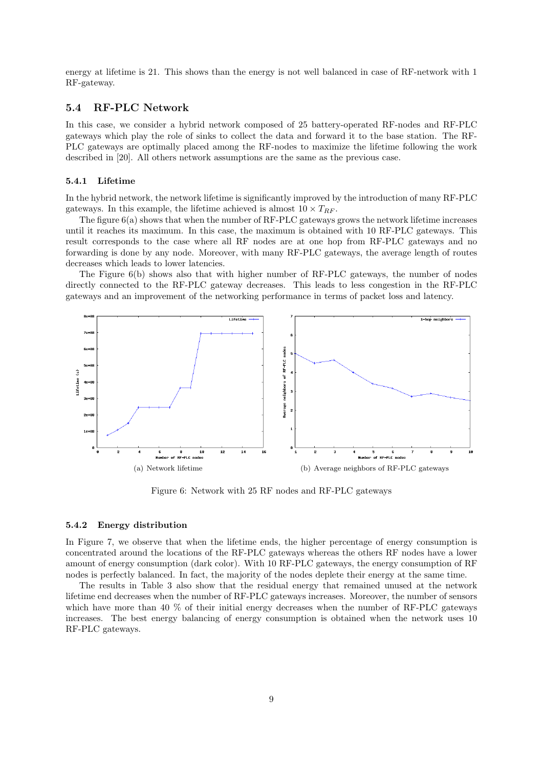energy at lifetime is 21. This shows than the energy is not well balanced in case of RF-network with 1 RF-gateway.

## 5.4 RF-PLC Network

In this case, we consider a hybrid network composed of 25 battery-operated RF-nodes and RF-PLC gateways which play the role of sinks to collect the data and forward it to the base station. The RF-PLC gateways are optimally placed among the RF-nodes to maximize the lifetime following the work described in [20]. All others network assumptions are the same as the previous case.

#### 5.4.1 Lifetime

In the hybrid network, the network lifetime is significantly improved by the introduction of many RF-PLC gateways. In this example, the lifetime achieved is almost  $10 \times T_{RF}$ .

The figure 6(a) shows that when the number of RF-PLC gateways grows the network lifetime increases until it reaches its maximum. In this case, the maximum is obtained with 10 RF-PLC gateways. This result corresponds to the case where all RF nodes are at one hop from RF-PLC gateways and no forwarding is done by any node. Moreover, with many RF-PLC gateways, the average length of routes decreases which leads to lower latencies.

The Figure 6(b) shows also that with higher number of RF-PLC gateways, the number of nodes directly connected to the RF-PLC gateway decreases. This leads to less congestion in the RF-PLC gateways and an improvement of the networking performance in terms of packet loss and latency.



Figure 6: Network with 25 RF nodes and RF-PLC gateways

#### 5.4.2 Energy distribution

In Figure 7, we observe that when the lifetime ends, the higher percentage of energy consumption is concentrated around the locations of the RF-PLC gateways whereas the others RF nodes have a lower amount of energy consumption (dark color). With 10 RF-PLC gateways, the energy consumption of RF nodes is perfectly balanced. In fact, the majority of the nodes deplete their energy at the same time.

The results in Table 3 also show that the residual energy that remained unused at the network lifetime end decreases when the number of RF-PLC gateways increases. Moreover, the number of sensors which have more than 40 % of their initial energy decreases when the number of RF-PLC gateways increases. The best energy balancing of energy consumption is obtained when the network uses 10 RF-PLC gateways.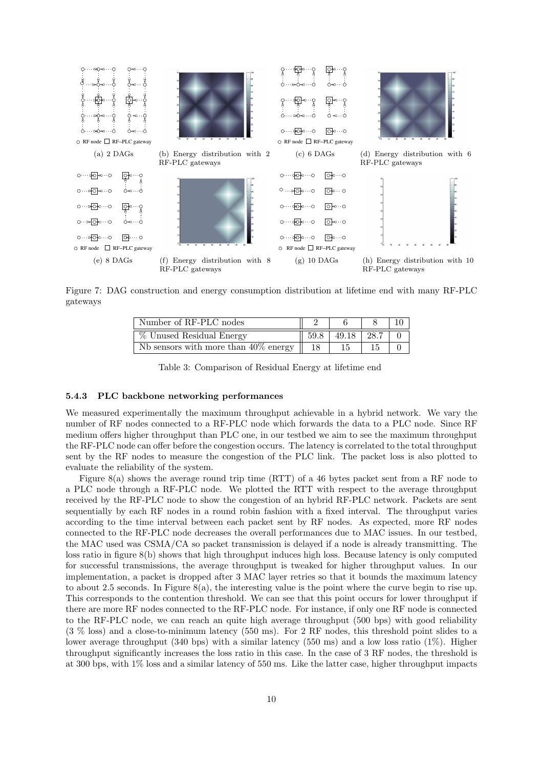

Figure 7: DAG construction and energy consumption distribution at lifetime end with many RF-PLC gateways

| Number of RF-PLC nodes                  |      |       |         |  |
|-----------------------------------------|------|-------|---------|--|
| % Unused Residual Energy                | 59.8 | 49.18 | $+28.7$ |  |
| Nb sensors with more than $40\%$ energy |      |       |         |  |

Table 3: Comparison of Residual Energy at lifetime end

#### 5.4.3 PLC backbone networking performances

We measured experimentally the maximum throughput achievable in a hybrid network. We vary the number of RF nodes connected to a RF-PLC node which forwards the data to a PLC node. Since RF medium offers higher throughput than PLC one, in our testbed we aim to see the maximum throughput the RF-PLC node can offer before the congestion occurs. The latency is correlated to the total throughput sent by the RF nodes to measure the congestion of the PLC link. The packet loss is also plotted to evaluate the reliability of the system.

Figure 8(a) shows the average round trip time (RTT) of a 46 bytes packet sent from a RF node to a PLC node through a RF-PLC node. We plotted the RTT with respect to the average throughput received by the RF-PLC node to show the congestion of an hybrid RF-PLC network. Packets are sent sequentially by each RF nodes in a round robin fashion with a fixed interval. The throughput varies according to the time interval between each packet sent by RF nodes. As expected, more RF nodes connected to the RF-PLC node decreases the overall performances due to MAC issues. In our testbed, the MAC used was CSMA/CA so packet transmission is delayed if a node is already transmitting. The loss ratio in figure 8(b) shows that high throughput induces high loss. Because latency is only computed for successful transmissions, the average throughput is tweaked for higher throughput values. In our implementation, a packet is dropped after 3 MAC layer retries so that it bounds the maximum latency to about 2.5 seconds. In Figure  $8(a)$ , the interesting value is the point where the curve begin to rise up. This corresponds to the contention threshold. We can see that this point occurs for lower throughput if there are more RF nodes connected to the RF-PLC node. For instance, if only one RF node is connected to the RF-PLC node, we can reach an quite high average throughput (500 bps) with good reliability (3 % loss) and a close-to-minimum latency (550 ms). For 2 RF nodes, this threshold point slides to a lower average throughput (340 bps) with a similar latency (550 ms) and a low loss ratio (1%). Higher throughput significantly increases the loss ratio in this case. In the case of 3 RF nodes, the threshold is at 300 bps, with 1% loss and a similar latency of 550 ms. Like the latter case, higher throughput impacts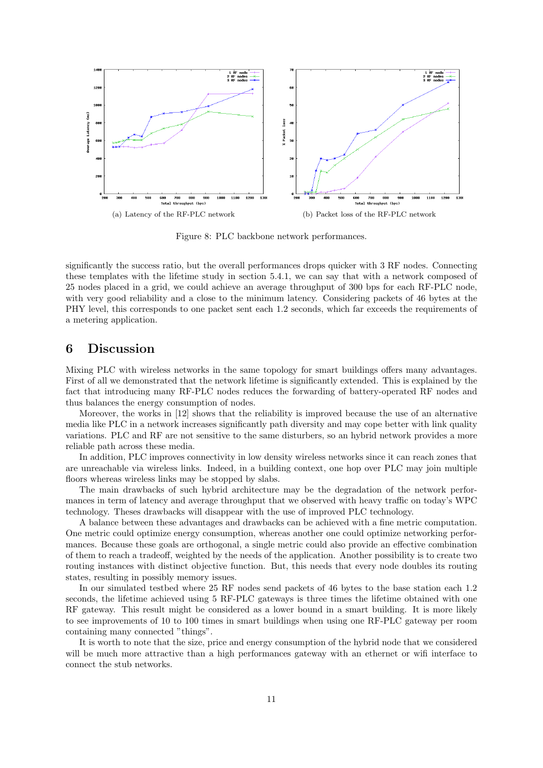

Figure 8: PLC backbone network performances.

significantly the success ratio, but the overall performances drops quicker with 3 RF nodes. Connecting these templates with the lifetime study in section 5.4.1, we can say that with a network composed of 25 nodes placed in a grid, we could achieve an average throughput of 300 bps for each RF-PLC node, with very good reliability and a close to the minimum latency. Considering packets of 46 bytes at the PHY level, this corresponds to one packet sent each 1.2 seconds, which far exceeds the requirements of a metering application.

## 6 Discussion

Mixing PLC with wireless networks in the same topology for smart buildings offers many advantages. First of all we demonstrated that the network lifetime is significantly extended. This is explained by the fact that introducing many RF-PLC nodes reduces the forwarding of battery-operated RF nodes and thus balances the energy consumption of nodes.

Moreover, the works in [12] shows that the reliability is improved because the use of an alternative media like PLC in a network increases significantly path diversity and may cope better with link quality variations. PLC and RF are not sensitive to the same disturbers, so an hybrid network provides a more reliable path across these media.

In addition, PLC improves connectivity in low density wireless networks since it can reach zones that are unreachable via wireless links. Indeed, in a building context, one hop over PLC may join multiple floors whereas wireless links may be stopped by slabs.

The main drawbacks of such hybrid architecture may be the degradation of the network performances in term of latency and average throughput that we observed with heavy traffic on today's WPC technology. Theses drawbacks will disappear with the use of improved PLC technology.

A balance between these advantages and drawbacks can be achieved with a fine metric computation. One metric could optimize energy consumption, whereas another one could optimize networking performances. Because these goals are orthogonal, a single metric could also provide an effective combination of them to reach a tradeoff, weighted by the needs of the application. Another possibility is to create two routing instances with distinct objective function. But, this needs that every node doubles its routing states, resulting in possibly memory issues.

In our simulated testbed where 25 RF nodes send packets of 46 bytes to the base station each 1.2 seconds, the lifetime achieved using 5 RF-PLC gateways is three times the lifetime obtained with one RF gateway. This result might be considered as a lower bound in a smart building. It is more likely to see improvements of 10 to 100 times in smart buildings when using one RF-PLC gateway per room containing many connected "things".

It is worth to note that the size, price and energy consumption of the hybrid node that we considered will be much more attractive than a high performances gateway with an ethernet or wifi interface to connect the stub networks.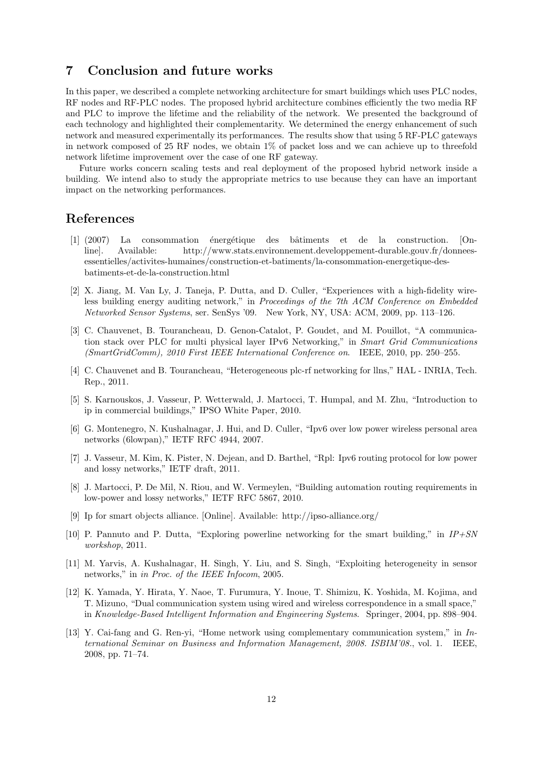# 7 Conclusion and future works

In this paper, we described a complete networking architecture for smart buildings which uses PLC nodes, RF nodes and RF-PLC nodes. The proposed hybrid architecture combines efficiently the two media RF and PLC to improve the lifetime and the reliability of the network. We presented the background of each technology and highlighted their complementarity. We determined the energy enhancement of such network and measured experimentally its performances. The results show that using 5 RF-PLC gateways in network composed of 25 RF nodes, we obtain  $1\%$  of packet loss and we can achieve up to threefold network lifetime improvement over the case of one RF gateway.

Future works concern scaling tests and real deployment of the proposed hybrid network inside a building. We intend also to study the appropriate metrics to use because they can have an important impact on the networking performances.

# References

- [1] (2007) La consommation énergétique des bâtiments et de la construction. [Online]. Available: http://www.stats.environnement.developpement-durable.gouv.fr/donneesessentielles/activites-humaines/construction-et-batiments/la-consommation-energetique-desbatiments-et-de-la-construction.html
- [2] X. Jiang, M. Van Ly, J. Taneja, P. Dutta, and D. Culler, "Experiences with a high-fidelity wireless building energy auditing network," in Proceedings of the 7th ACM Conference on Embedded Networked Sensor Systems, ser. SenSys '09. New York, NY, USA: ACM, 2009, pp. 113–126.
- [3] C. Chauvenet, B. Tourancheau, D. Genon-Catalot, P. Goudet, and M. Pouillot, "A communication stack over PLC for multi physical layer IPv6 Networking," in Smart Grid Communications (SmartGridComm), 2010 First IEEE International Conference on. IEEE, 2010, pp. 250–255.
- [4] C. Chauvenet and B. Tourancheau, "Heterogeneous plc-rf networking for llns," HAL INRIA, Tech. Rep., 2011.
- [5] S. Karnouskos, J. Vasseur, P. Wetterwald, J. Martocci, T. Humpal, and M. Zhu, "Introduction to ip in commercial buildings," IPSO White Paper, 2010.
- [6] G. Montenegro, N. Kushalnagar, J. Hui, and D. Culler, "Ipv6 over low power wireless personal area networks (6lowpan)," IETF RFC 4944, 2007.
- [7] J. Vasseur, M. Kim, K. Pister, N. Dejean, and D. Barthel, "Rpl: Ipv6 routing protocol for low power and lossy networks," IETF draft, 2011.
- [8] J. Martocci, P. De Mil, N. Riou, and W. Vermeylen, "Building automation routing requirements in low-power and lossy networks," IETF RFC 5867, 2010.
- [9] Ip for smart objects alliance. [Online]. Available: http://ipso-alliance.org/
- [10] P. Pannuto and P. Dutta, "Exploring powerline networking for the smart building," in  $IP+SN$ workshop, 2011.
- [11] M. Yarvis, A. Kushalnagar, H. Singh, Y. Liu, and S. Singh, "Exploiting heterogeneity in sensor networks," in in Proc. of the IEEE Infocom, 2005.
- [12] K. Yamada, Y. Hirata, Y. Naoe, T. Furumura, Y. Inoue, T. Shimizu, K. Yoshida, M. Kojima, and T. Mizuno, "Dual communication system using wired and wireless correspondence in a small space," in Knowledge-Based Intelligent Information and Engineering Systems. Springer, 2004, pp. 898–904.
- [13] Y. Cai-fang and G. Ren-yi, "Home network using complementary communication system," in International Seminar on Business and Information Management, 2008. ISBIM'08., vol. 1. IEEE, 2008, pp. 71–74.